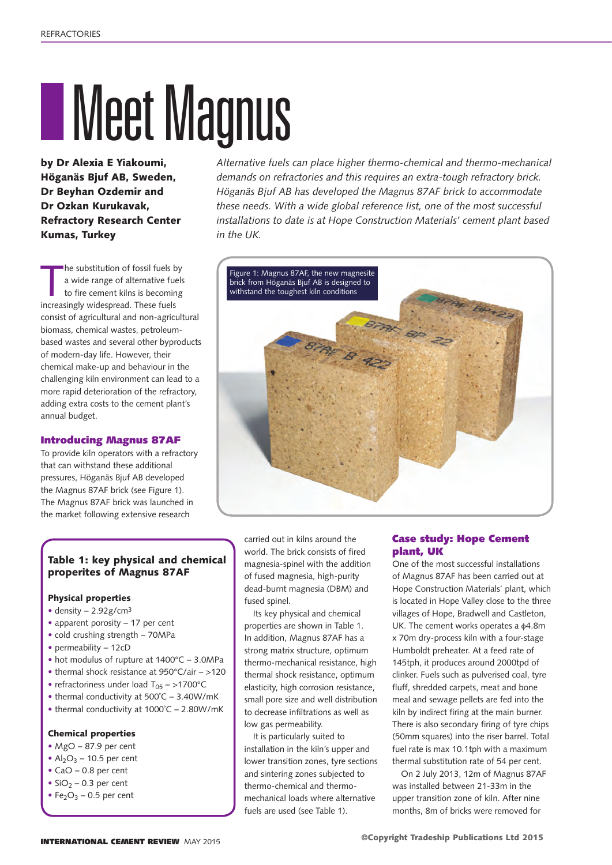# **INeet Magnus**

by Dr Alexia E Yiakoumi, Höganäs Bjuf AB, Sweden, Dr Beyhan Ozdemir and Dr Ozkan Kurukavak, Refractory Research Center Kumas, Turkey

he substitution of fossil fuels b<br>a wide range of alternative fue<br>to fire cement kilns is becomin<br>increasingly widespread. These fuels he substitution of fossil fuels by a wide range of alternative fuels to fire cement kilns is becoming consist of agricultural and non-agricultural biomass, chemical wastes, petroleumbased wastes and several other byproducts of modern-day life. However, their chemical make-up and behaviour in the challenging kiln environment can lead to a more rapid deterioration of the refractory, adding extra costs to the cement plant's annual budget.

## Introducing Magnus 87AF

To provide kiln operators with a refractory that can withstand these additional pressures, Höganäs Bjuf AB developed the Magnus 87AF brick (see Figure 1). The Magnus 87AF brick was launched in the market following extensive research

## Table 1: key physical and chemical properites of Magnus 87AF

### Physical properties

- density 2.92g/cm3
- apparent porosity 17 per cent
- cold crushing strength 70MPa
- permeability 12cD
- hot modulus of rupture at 1400°C 3.0MPa
- thermal shock resistance at 950°C/air >120
- refractoriness under load  $T_{05}$  >1700°C
- thermal conductivity at 500°C 3.40W/mK
- thermal conductivity at 1000˚C 2.80W/mK

### Chemical properties

- MgO 87.9 per cent
- $Al_2O_3$  10.5 per cent
- CaO 0.8 per cent
- $SiO<sub>2</sub> 0.3$  per cent
- Fe<sub>2</sub>O<sub>3</sub> 0.5 per cent

*Alternative fuels can place higher thermo-chemical and thermo-mechanical demands on refractories and this requires an extra-tough refractory brick. Höganäs Bjuf AB has developed the Magnus 87AF brick to accommodate these needs. With a wide global reference list, one of the most successful installations to date is at Hope Construction Materials' cement plant based in the UK.*



carried out in kilns around the world. The brick consists of fired magnesia-spinel with the addition of fused magnesia, high-purity dead-burnt magnesia (DBM) and fused spinel.

Its key physical and chemical properties are shown in Table 1. In addition, Magnus 87AF has a strong matrix structure, optimum thermo-mechanical resistance, high thermal shock resistance, optimum elasticity, high corrosion resistance, small pore size and well distribution to decrease infiltrations as well as low gas permeability.

It is particularly suited to installation in the kiln's upper and lower transition zones, tyre sections and sintering zones subjected to thermo-chemical and thermomechanical loads where alternative fuels are used (see Table 1).

## Case study: Hope Cement plant, UK

One of the most successful installations of Magnus 87AF has been carried out at Hope Construction Materials' plant, which is located in Hope Valley close to the three villages of Hope, Bradwell and Castleton, UK. The cement works operates a  $64.8m$ x 70m dry-process kiln with a four-stage Humboldt preheater. At a feed rate of 145tph, it produces around 2000tpd of clinker. Fuels such as pulverised coal, tyre fluff, shredded carpets, meat and bone meal and sewage pellets are fed into the kiln by indirect firing at the main burner. There is also secondary firing of tyre chips (50mm squares) into the riser barrel. Total fuel rate is max 10.1tph with a maximum thermal substitution rate of 54 per cent.

On 2 July 2013, 12m of Magnus 87AF was installed between 21-33m in the upper transition zone of kiln. After nine months, 8m of bricks were removed for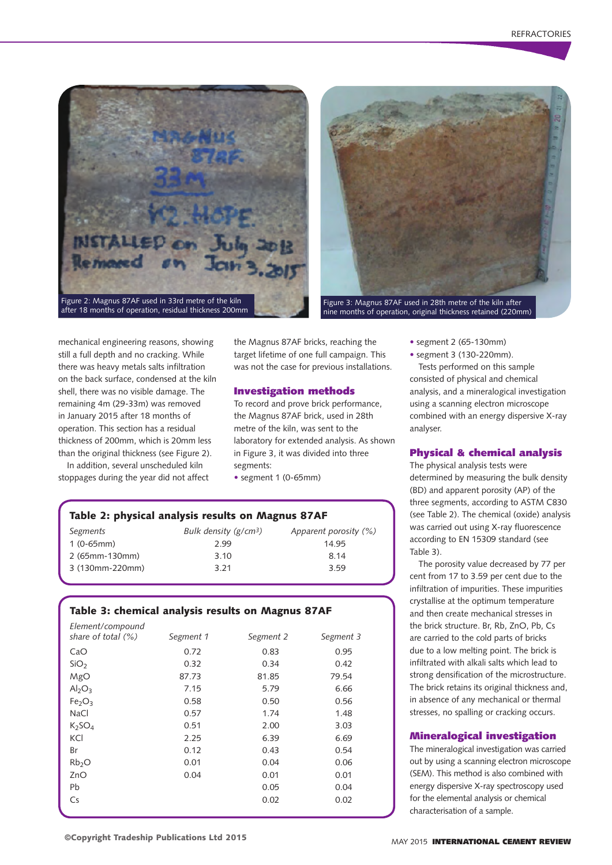



nine months of operation, original thickness retained (220mm)

mechanical engineering reasons, showing still a full depth and no cracking. While there was heavy metals salts infiltration on the back surface, condensed at the kiln shell, there was no visible damage. The remaining 4m (29-33m) was removed in January 2015 after 18 months of operation. This section has a residual thickness of 200mm, which is 20mm less than the original thickness (see Figure 2).

In addition, several unscheduled kiln stoppages during the year did not affect the Magnus 87AF bricks, reaching the target lifetime of one full campaign. This was not the case for previous installations.

### Investigation methods

To record and prove brick performance, the Magnus 87AF brick, used in 28th metre of the kiln, was sent to the laboratory for extended analysis. As shown in Figure 3, it was divided into three segments:

• segment 1 (0-65mm)

# Table 2: physical analysis results on Magnus 87AF

| Segments        | Bulk density $(g/cm3)$ | Apparent porosity (%) |
|-----------------|------------------------|-----------------------|
| $1(0-65mm)$     | 2.99                   | 14.95                 |
| 2 (65mm-130mm)  | 3.10                   | 8.14                  |
| 3 (130mm-220mm) | 3.21                   | 3.59                  |

## Table 3: chemical analysis results on Magnus 87AF

| Element/compound               |           |           |           |
|--------------------------------|-----------|-----------|-----------|
| share of total $(\%)$          | Segment 1 | Segment 2 | Segment 3 |
| CaO                            | 0.72      | 0.83      | 0.95      |
| SiO <sub>2</sub>               | 0.32      | 0.34      | 0.42      |
| MgO                            | 87.73     | 81.85     | 79.54     |
| Al <sub>2</sub> O <sub>3</sub> | 7.15      | 5.79      | 6.66      |
| Fe <sub>2</sub> O <sub>3</sub> | 0.58      | 0.50      | 0.56      |
| <b>NaCl</b>                    | 0.57      | 1.74      | 1.48      |
| K <sub>2</sub> SO <sub>4</sub> | 0.51      | 2.00      | 3.03      |
| KCI                            | 2.25      | 6.39      | 6.69      |
| Br                             | 0.12      | 0.43      | 0.54      |
| Rb <sub>2</sub> O              | 0.01      | 0.04      | 0.06      |
| ZnO                            | 0.04      | 0.01      | 0.01      |
| Pb                             |           | 0.05      | 0.04      |
| Cs                             |           | 0.02      | 0.02      |
|                                |           |           |           |

- segment 2 (65-130mm)
- segment 3 (130-220mm).

Tests performed on this sample consisted of physical and chemical analysis, and a mineralogical investigation using a scanning electron microscope combined with an energy dispersive X-ray analyser.

## Physical & chemical analysis

The physical analysis tests were determined by measuring the bulk density (BD) and apparent porosity (AP) of the three segments, according to ASTM C830 (see Table 2). The chemical (oxide) analysis was carried out using X-ray fluorescence according to EN 15309 standard (see Table 3).

The porosity value decreased by 77 per cent from 17 to 3.59 per cent due to the infiltration of impurities. These impurities crystallise at the optimum temperature and then create mechanical stresses in the brick structure. Br, Rb, ZnO, Pb, Cs are carried to the cold parts of bricks due to a low melting point. The brick is infiltrated with alkali salts which lead to strong densification of the microstructure. The brick retains its original thickness and, in absence of any mechanical or thermal stresses, no spalling or cracking occurs.

### Mineralogical investigation

The mineralogical investigation was carried out by using a scanning electron microscope (SEM). This method is also combined with energy dispersive X-ray spectroscopy used for the elemental analysis or chemical characterisation of a sample.